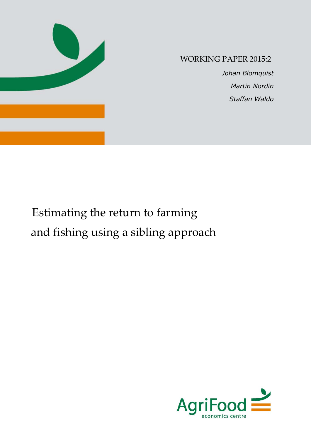

# WORKING PAPER 2015:2

 *Johan Blomquist Martin Nordin Staffan Waldo*

# Estimating the return to farming and fishing using a sibling approach

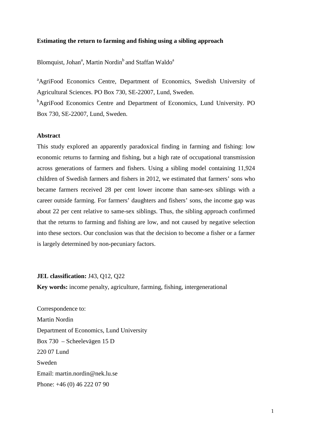#### **Estimating the return to farming and fishing using a sibling approach**

Blomquist, Johan<sup>a</sup>, Martin Nordin<sup>b</sup> and Staffan Waldo<sup>a</sup>

<sup>a</sup>AgriFood Economics Centre, Department of Economics, Swedish University of Agricultural Sciences. PO Box 730, SE-22007, Lund, Sweden.

<sup>b</sup>AgriFood Economics Centre and Department of Economics, Lund University. PO Box 730, SE-22007, Lund, Sweden.

# **Abstract**

This study explored an apparently paradoxical finding in farming and fishing: low economic returns to farming and fishing, but a high rate of occupational transmission across generations of farmers and fishers. Using a sibling model containing 11,924 children of Swedish farmers and fishers in 2012, we estimated that farmers' sons who became farmers received 28 per cent lower income than same-sex siblings with a career outside farming. For farmers' daughters and fishers' sons, the income gap was about 22 per cent relative to same-sex siblings. Thus, the sibling approach confirmed that the returns to farming and fishing are low, and not caused by negative selection into these sectors. Our conclusion was that the decision to become a fisher or a farmer is largely determined by non-pecuniary factors.

#### **JEL classification:** J43, Q12, Q22

**Key words:** income penalty, agriculture, farming, fishing, intergenerational

Correspondence to: Martin Nordin Department of Economics, Lund University Box 730 – Scheelevägen 15 D 220 07 Lund Sweden Email: martin.nordin@nek.lu.se Phone: +46 (0) 46 222 07 90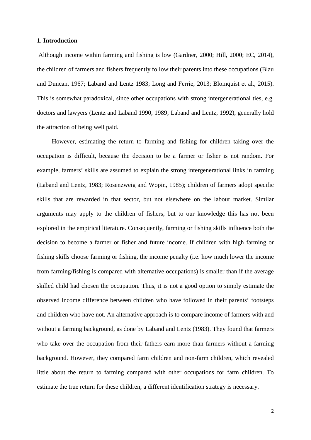# **1. Introduction**

Although income within farming and fishing is low (Gardner, 2000; Hill, 2000; EC, 2014), the children of farmers and fishers frequently follow their parents into these occupations (Blau and Duncan, 1967; Laband and Lentz 1983; Long and Ferrie, 2013; Blomquist et al., 2015). This is somewhat paradoxical, since other occupations with strong intergenerational ties, e.g. doctors and lawyers (Lentz and Laband 1990, 1989; Laband and Lentz, 1992), generally hold the attraction of being well paid.

However, estimating the return to farming and fishing for children taking over the occupation is difficult, because the decision to be a farmer or fisher is not random. For example, farmers' skills are assumed to explain the strong intergenerational links in farming (Laband and Lentz, 1983; Rosenzweig and Wopin, 1985); children of farmers adopt specific skills that are rewarded in that sector, but not elsewhere on the labour market. Similar arguments may apply to the children of fishers, but to our knowledge this has not been explored in the empirical literature. Consequently, farming or fishing skills influence both the decision to become a farmer or fisher and future income. If children with high farming or fishing skills choose farming or fishing, the income penalty (i.e. how much lower the income from farming/fishing is compared with alternative occupations) is smaller than if the average skilled child had chosen the occupation. Thus, it is not a good option to simply estimate the observed income difference between children who have followed in their parents' footsteps and children who have not. An alternative approach is to compare income of farmers with and without a farming background, as done by Laband and Lentz (1983). They found that farmers who take over the occupation from their fathers earn more than farmers without a farming background. However, they compared farm children and non-farm children, which revealed little about the return to farming compared with other occupations for farm children. To estimate the true return for these children, a different identification strategy is necessary.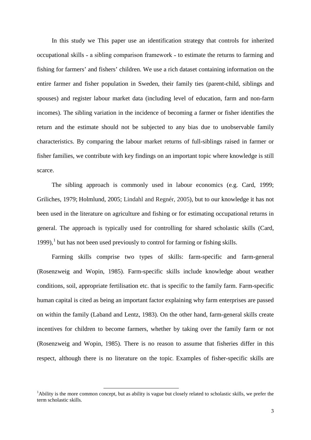In this study we This paper use an identification strategy that controls for inherited occupational skills – a sibling comparison framework – to estimate the returns to farming and fishing for farmers' and fishers' children. We use a rich dataset containing information on the entire farmer and fisher population in Sweden, their family ties (parent-child, siblings and spouses) and register labour market data (including level of education, farm and non-farm incomes). The sibling variation in the incidence of becoming a farmer or fisher identifies the return and the estimate should not be subjected to any bias due to unobservable family characteristics. By comparing the labour market returns of full-siblings raised in farmer or fisher families, we contribute with key findings on an important topic where knowledge is still scarce.

The sibling approach is commonly used in labour economics (e.g. Card, 1999; Griliches, 1979; Holmlund, 2005; Lindahl and Regnér, 2005), but to our knowledge it has not been used in the literature on agriculture and fishing or for estimating occupational returns in general. The approach is typically used for controlling for shared scholastic skills (Card, [1](#page-4-0)999), $<sup>1</sup>$  but has not been used previously to control for farming or fishing skills.</sup>

Farming skills comprise two types of skills: farm-specific and farm-general (Rosenzweig and Wopin, 1985). Farm-specific skills include knowledge about weather conditions, soil, appropriate fertilisation etc. that is specific to the family farm. Farm-specific human capital is cited as being an important factor explaining why farm enterprises are passed on within the family (Laband and Lentz, 1983). On the other hand, farm-general skills create incentives for children to become farmers, whether by taking over the family farm or not (Rosenzweig and Wopin, 1985). There is no reason to assume that fisheries differ in this respect, although there is no literature on the topic. Examples of fisher-specific skills are

<span id="page-4-0"></span><sup>&</sup>lt;sup>1</sup>Ability is the more common concept, but as ability is vague but closely related to scholastic skills, we prefer the term scholastic skills.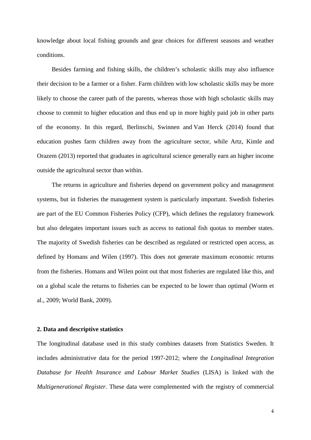knowledge about local fishing grounds and gear choices for different seasons and weather conditions.

Besides farming and fishing skills, the children's scholastic skills may also influence their decision to be a farmer or a fisher. Farm children with low scholastic skills may be more likely to choose the career path of the parents, whereas those with high scholastic skills may choose to commit to higher education and thus end up in more highly paid job in other parts of the economy. In this regard, Berlinschi, Swinnen and Van Herck (2014) found that education pushes farm children away from the agriculture sector, while Artz, Kimle and Orazem (2013) reported that graduates in agricultural science generally earn an higher income outside the agricultural sector than within.

The returns in agriculture and fisheries depend on government policy and management systems, but in fisheries the management system is particularly important. Swedish fisheries are part of the EU Common Fisheries Policy (CFP), which defines the regulatory framework but also delegates important issues such as access to national fish quotas to member states. The majority of Swedish fisheries can be described as regulated or restricted open access, as defined by Homans and Wilen (1997). This does not generate maximum economic returns from the fisheries. Homans and Wilen point out that most fisheries are regulated like this, and on a global scale the returns to fisheries can be expected to be lower than optimal (Worm et al., 2009; World Bank, 2009).

### **2. Data and descriptive statistics**

The longitudinal database used in this study combines datasets from Statistics Sweden. It includes administrative data for the period 1997-2012; where the *Longitudinal Integration Database for Health Insurance and Labour Market Studies* (LISA) is linked with the *Multigenerational Register.* These data were complemented with the registry of commercial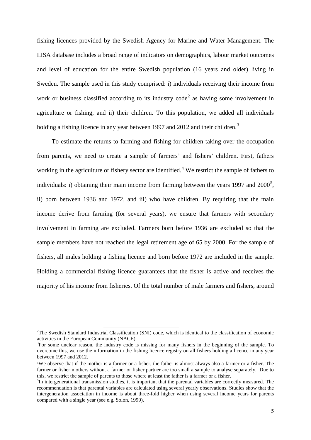fishing licences provided by the Swedish Agency for Marine and Water Management. The LISA database includes a broad range of indicators on demographics, labour market outcomes and level of education for the entire Swedish population (16 years and older) living in Sweden. The sample used in this study comprised: i) individuals receiving their income from work or business classified according to its industry code<sup>[2](#page-6-0)</sup> as having some involvement in agriculture or fishing, and ii) their children. To this population, we added all individuals holding a fishing licence in any year between 1997 and 2012 and their children.<sup>[3](#page-6-1)</sup>

To estimate the returns to farming and fishing for children taking over the occupation from parents, we need to create a sample of farmers' and fishers' children. First, fathers working in the agriculture or fishery sector are identified.<sup>[4](#page-6-2)</sup> We restrict the sample of fathers to individuals: i) obtaining their main income from farming between the years 1997 and  $2000^5$  $2000^5$ , ii) born between 1936 and 1972, and iii) who have children. By requiring that the main income derive from farming (for several years), we ensure that farmers with secondary involvement in farming are excluded. Farmers born before 1936 are excluded so that the sample members have not reached the legal retirement age of 65 by 2000. For the sample of fishers, all males holding a fishing licence and born before 1972 are included in the sample. Holding a commercial fishing licence guarantees that the fisher is active and receives the majority of his income from fisheries. Of the total number of male farmers and fishers, around

<span id="page-6-0"></span> $2$ The Swedish Standard Industrial Classification (SNI) code, which is identical to the classification of economic activities in the European Community (NACE). 3

<span id="page-6-1"></span><sup>&</sup>lt;sup>3</sup>For some unclear reason, the industry code is missing for many fishers in the beginning of the sample. To overcome this, we use the information in the fishing licence registry on all fishers holding a licence in any year between 1997 and 2012.

<span id="page-6-2"></span><sup>4</sup>We observe that if the mother is a farmer or a fisher, the father is almost always also a farmer or a fisher. The farmer or fisher mothers without a farmer or fisher partner are too small a sample to analyse separately. Due to this, we restrict the sample of parents to those where at least the father is a farmer or a fisher. <sup>5</sup>

<span id="page-6-3"></span> ${}^{5}$ In intergenerational transmission studies, it is important that the parental variables are correctly measured. The recommendation is that parental variables are calculated using several yearly observations. Studies show that the intergeneration association in income is about three-fold higher when using several income years for parents compared with a single year (see e.g. Solon, 1999).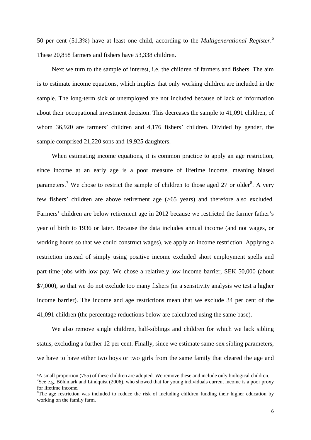50 per cent (51.3%) have at least one child, according to the *Multigenerational Register*. [6](#page-7-0) These 20,858 farmers and fishers have 53,338 children.

Next we turn to the sample of interest, i.e. the children of farmers and fishers. The aim is to estimate income equations, which implies that only working children are included in the sample. The long-term sick or unemployed are not included because of lack of information about their occupational investment decision. This decreases the sample to 41,091 children, of whom 36,920 are farmers' children and 4,176 fishers' children. Divided by gender, the sample comprised 21,220 sons and 19,925 daughters.

When estimating income equations, it is common practice to apply an age restriction, since income at an early age is a poor measure of lifetime income, meaning biased parameters.<sup>[7](#page-7-1)</sup> We chose to restrict the sample of children to those aged 27 or older<sup>[8](#page-7-2)</sup>. A very few fishers' children are above retirement age (>65 years) and therefore also excluded. Farmers' children are below retirement age in 2012 because we restricted the farmer father's year of birth to 1936 or later. Because the data includes annual income (and not wages, or working hours so that we could construct wages), we apply an income restriction. Applying a restriction instead of simply using positive income excluded short employment spells and part-time jobs with low pay. We chose a relatively low income barrier, SEK 50,000 (about \$7,000), so that we do not exclude too many fishers (in a sensitivity analysis we test a higher income barrier). The income and age restrictions mean that we exclude 34 per cent of the 41,091 children (the percentage reductions below are calculated using the same base).

We also remove single children, half-siblings and children for which we lack sibling status, excluding a further 12 per cent. Finally, since we estimate same-sex sibling parameters, we have to have either two boys or two girls from the same family that cleared the age and

<span id="page-7-0"></span><sup>6</sup>A small proportion (755) of these children are adopted. We remove these and include only biological children. <sup>7</sup>See e.g. Böhlmark and Lindquist (2006), who showed that for young individuals current income is a poor proxy

<span id="page-7-2"></span><span id="page-7-1"></span>for lifetime income.  ${}^{8}$ The age restriction was included to reduce the risk of including children funding their higher education by

working on the family farm.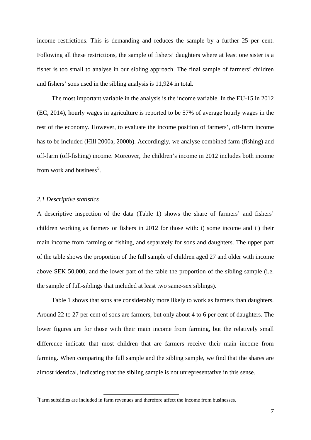income restrictions. This is demanding and reduces the sample by a further 25 per cent. Following all these restrictions, the sample of fishers' daughters where at least one sister is a fisher is too small to analyse in our sibling approach. The final sample of farmers' children and fishers' sons used in the sibling analysis is 11,924 in total.

The most important variable in the analysis is the income variable. In the EU-15 in 2012 (EC, 2014), hourly wages in agriculture is reported to be 57% of average hourly wages in the rest of the economy. However, to evaluate the income position of farmers', off-farm income has to be included (Hill 2000a, 2000b). Accordingly, we analyse combined farm (fishing) and off-farm (off-fishing) income. Moreover, the children's income in 2012 includes both income from work and business<sup>[9](#page-8-0)</sup>.

### *2.1 Descriptive statistics*

A descriptive inspection of the data (Table 1) shows the share of farmers' and fishers' children working as farmers or fishers in 2012 for those with: i) some income and ii) their main income from farming or fishing, and separately for sons and daughters. The upper part of the table shows the proportion of the full sample of children aged 27 and older with income above SEK 50,000, and the lower part of the table the proportion of the sibling sample (i.e. the sample of full-siblings that included at least two same-sex siblings).

Table 1 shows that sons are considerably more likely to work as farmers than daughters. Around 22 to 27 per cent of sons are farmers, but only about 4 to 6 per cent of daughters. The lower figures are for those with their main income from farming, but the relatively small difference indicate that most children that are farmers receive their main income from farming. When comparing the full sample and the sibling sample, we find that the shares are almost identical, indicating that the sibling sample is not unrepresentative in this sense.

<span id="page-8-0"></span> ${}^{9}$ Farm subsidies are included in farm revenues and therefore affect the income from businesses.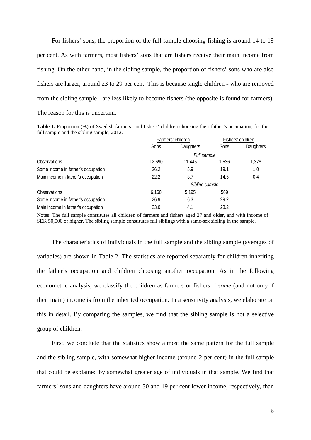For fishers' sons, the proportion of the full sample choosing fishing is around 14 to 19 per cent. As with farmers, most fishers' sons that are fishers receive their main income from fishing. On the other hand, in the sibling sample, the proportion of fishers' sons who are also fishers are larger, around 23 to 29 per cent. This is because single children - who are removed from the sibling sample – are less likely to become fishers (the opposite is found for farmers). The reason for this is uncertain.

**Table 1.** Proportion (%) of Swedish farmers' and fishers' children choosing their father's occupation, for the full sample and the sibling sample, 2012.

|                                    | Farmers' children |                  |             | Fishers' children |  |  |
|------------------------------------|-------------------|------------------|-------------|-------------------|--|--|
|                                    | Sons              | <b>Daughters</b> | <b>Sons</b> | <b>Daughters</b>  |  |  |
|                                    | Full sample       |                  |             |                   |  |  |
| <b>Observations</b>                | 12,690            | 11,445           | 1.536       | 1,378             |  |  |
| Some income in father's occupation | 26.2              | 5.9              | 19.1        | 1.0               |  |  |
| Main income in father's occupation | 22.2              | 3.7              | 14.5        | 0.4               |  |  |
|                                    | Sibling sample    |                  |             |                   |  |  |
| <b>Observations</b>                | 6.160             | 5.195            | 569         |                   |  |  |
| Some income in father's occupation | 26.9              | 6.3              | 29.2        |                   |  |  |
| Main income in father's occupation | 23.0              | 4.1              | 23.2        |                   |  |  |

Notes: The full sample constitutes all children of farmers and fishers aged 27 and older, and with income of SEK 50,000 or higher. The sibling sample constitutes full siblings with a same-sex sibling in the sample.

The characteristics of individuals in the full sample and the sibling sample (averages of variables) are shown in Table 2. The statistics are reported separately for children inheriting the father's occupation and children choosing another occupation. As in the following econometric analysis, we classify the children as farmers or fishers if *some* (and not only if their main) income is from the inherited occupation. In a sensitivity analysis, we elaborate on this in detail. By comparing the samples, we find that the sibling sample is not a selective group of children.

First, we conclude that the statistics show almost the same pattern for the full sample and the sibling sample, with somewhat higher income (around 2 per cent) in the full sample that could be explained by somewhat greater age of individuals in that sample. We find that farmers' sons and daughters have around 30 and 19 per cent lower income, respectively, than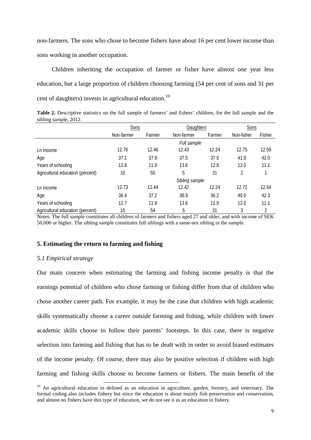non-farmers. The sons who chose to become fishers have about 16 per cent lower income than sons working in another occupation.

Children inheriting the occupation of farmer or fisher have almost one year less education, but a large proportion of children choosing farming (54 per cent of sons and 31 per cent of daughters) invests in agricultural education.<sup>[10](#page-10-0)</sup>

**Table 2.** Descriptive statistics on the full sample of farmers' and fishers' children, for the full sample and the sibling sample, 2012.

|                                  | Sons           |        |            | Daughters |            | Sons   |  |
|----------------------------------|----------------|--------|------------|-----------|------------|--------|--|
|                                  | Non-farmer     | Farmer | Non-farmer | Farmer    | Non-fisher | Fisher |  |
|                                  | Full sample    |        |            |           |            |        |  |
| Ln Income                        | 12.76          | 12.46  | 12.43      | 12.24     | 12.75      | 12.59  |  |
| Age                              | 37.1           | 37.9   | 37.5       | 37.5      | 41.9       | 42.0   |  |
| Years of schooling               | 12.8           | 11.9   | 13.6       | 12.8      | 12.0       | 11.1   |  |
| Agricultural education (percent) | 10             | 55     | 5          | 31        | 2          |        |  |
|                                  | Sibling sample |        |            |           |            |        |  |
| Ln Income                        | 12.73          | 12.44  | 12.42      | 12.24     | 12.72      | 12.54  |  |
| Age                              | 36.4           | 37.2   | 36.9       | 36.2      | 40.0       | 42.3   |  |
| Years of schooling               | 12.7           | 11.9   | 13.6       | 12.9      | 12.0       | 11.1   |  |
| Agricultural education (percent) | 10             | 54     | 5          | 31        | 3          | 2      |  |

Notes: The full sample constitutes all children of farmers and fishers aged 27 and older, and with income of SEK 50,000 or higher. The sibling sample constitutes full siblings with a same-sex sibling in the sample.

# **5. Estimating the return to farming and fishing**

-

#### *5.1 Empirical strategy*

Our main concern when estimating the farming and fishing income penalty is that the earnings potential of children who chose farming or fishing differ from that of children who chose another career path. For example, it may be the case that children with high academic skills systematically choose a career outside farming and fishing, while children with lower academic skills choose to follow their parents' footsteps. In this case, there is negative selection into farming and fishing that has to be dealt with in order to avoid biased estimates of the income penalty. Of course, there may also be positive selection if children with high farming and fishing skills choose to become farmers or fishers. The main benefit of the

<span id="page-10-0"></span><sup>&</sup>lt;sup>10</sup> An agricultural education in defined as an education in agriculture, garden, forestry, and veterinary. The formal coding also includes fishery but since the education is about mainly fish preservation and conservation, and almost no fishers have this type of education, we do not see it as an education in fishery.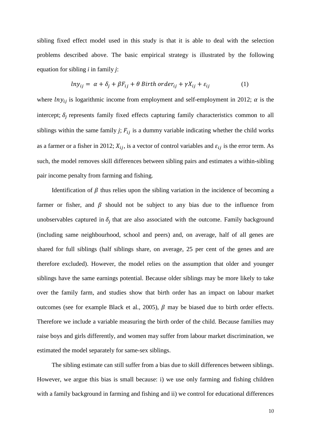sibling fixed effect model used in this study is that it is able to deal with the selection problems described above. The basic empirical strategy is illustrated by the following equation for sibling *i* in family *j*:

$$
ln y_{ij} = \alpha + \delta_j + \beta F_{ij} + \theta \text{ Birth order}_{ij} + \gamma X_{ij} + \varepsilon_{ij}
$$
 (1)

where  $lny_{ij}$  is logarithmic income from employment and self-employment in 2012;  $\alpha$  is the intercept;  $\delta_i$  represents family fixed effects capturing family characteristics common to all siblings within the same family *j*;  $F_{ij}$  is a dummy variable indicating whether the child works as a farmer or a fisher in 2012;  $X_{ij}$ , is a vector of control variables and  $\varepsilon_{ij}$  is the error term. As such, the model removes skill differences between sibling pairs and estimates a within-sibling pair income penalty from farming and fishing.

Identification of  $\beta$  thus relies upon the sibling variation in the incidence of becoming a farmer or fisher, and  $\beta$  should not be subject to any bias due to the influence from unobservables captured in  $\delta_i$  that are also associated with the outcome. Family background (including same neighbourhood, school and peers) and, on average, half of all genes are shared for full siblings (half siblings share, on average, 25 per cent of the genes and are therefore excluded). However, the model relies on the assumption that older and younger siblings have the same earnings potential. Because older siblings may be more likely to take over the family farm, and studies show that birth order has an impact on labour market outcomes (see for example Black et al., 2005),  $\beta$  may be biased due to birth order effects. Therefore we include a variable measuring the birth order of the child. Because families may raise boys and girls differently, and women may suffer from labour market discrimination, we estimated the model separately for same-sex siblings.

The sibling estimate can still suffer from a bias due to skill differences between siblings. However, we argue this bias is small because: i) we use only farming and fishing children with a family background in farming and fishing and ii) we control for educational differences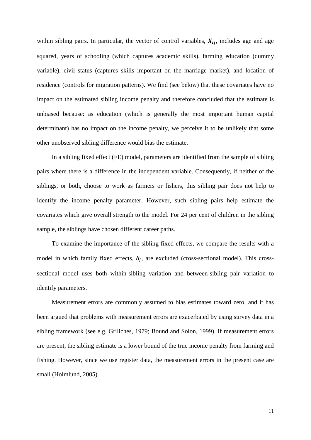within sibling pairs. In particular, the vector of control variables,  $X_{ij}$ , includes age and age squared, years of schooling (which captures academic skills), farming education (dummy variable), civil status (captures skills important on the marriage market), and location of residence (controls for migration patterns). We find (see below) that these covariates have no impact on the estimated sibling income penalty and therefore concluded that the estimate is unbiased because: as education (which is generally the most important human capital determinant) has no impact on the income penalty, we perceive it to be unlikely that some other unobserved sibling difference would bias the estimate.

In a sibling fixed effect (FE) model, parameters are identified from the sample of sibling pairs where there is a difference in the independent variable. Consequently, if neither of the siblings, or both, choose to work as farmers or fishers, this sibling pair does not help to identify the income penalty parameter. However, such sibling pairs help estimate the covariates which give overall strength to the model. For 24 per cent of children in the sibling sample, the siblings have chosen different career paths.

To examine the importance of the sibling fixed effects, we compare the results with a model in which family fixed effects,  $\delta_i$ , are excluded (cross-sectional model). This crosssectional model uses both within-sibling variation and between-sibling pair variation to identify parameters.

Measurement errors are commonly assumed to bias estimates toward zero, and it has been argued that problems with measurement errors are exacerbated by using survey data in a sibling framework (see e.g. Griliches, 1979; Bound and Solon, 1999). If measurement errors are present, the sibling estimate is a lower bound of the true income penalty from farming and fishing. However, since we use register data, the measurement errors in the present case are small (Holmlund, 2005).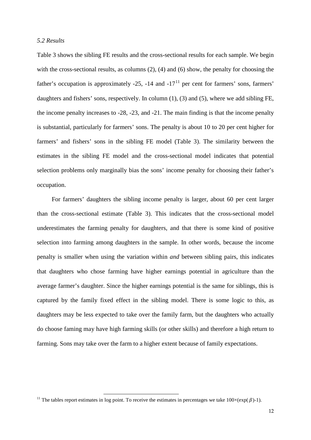### *5.2 Results*

Table 3 shows the sibling FE results and the cross-sectional results for each sample. We begin with the cross-sectional results, as columns (2), (4) and (6) show, the penalty for choosing the father's occupation is approximately  $-25$ ,  $-14$  and  $-17<sup>11</sup>$  $-17<sup>11</sup>$  $-17<sup>11</sup>$  per cent for farmers' sons, farmers' daughters and fishers' sons, respectively. In column (1), (3) and (5), where we add sibling FE, the income penalty increases to -28, -23, and -21. The main finding is that the income penalty is substantial, particularly for farmers' sons. The penalty is about 10 to 20 per cent higher for farmers' and fishers' sons in the sibling FE model (Table 3). The similarity between the estimates in the sibling FE model and the cross-sectional model indicates that potential selection problems only marginally bias the sons' income penalty for choosing their father's occupation.

For farmers' daughters the sibling income penalty is larger, about 60 per cent larger than the cross-sectional estimate (Table 3). This indicates that the cross-sectional model underestimates the farming penalty for daughters, and that there is some kind of positive selection into farming among daughters in the sample. In other words, because the income penalty is smaller when using the variation within *and* between sibling pairs, this indicates that daughters who chose farming have higher earnings potential in agriculture than the average farmer's daughter. Since the higher earnings potential is the same for siblings, this is captured by the family fixed effect in the sibling model. There is some logic to this, as daughters may be less expected to take over the family farm, but the daughters who actually do choose faming may have high farming skills (or other skills) and therefore a high return to farming. Sons may take over the farm to a higher extent because of family expectations.

<span id="page-13-0"></span><sup>&</sup>lt;sup>11</sup> The tables report estimates in log point. To receive the estimates in percentages we take  $100 \times (exp(\beta)-1)$ .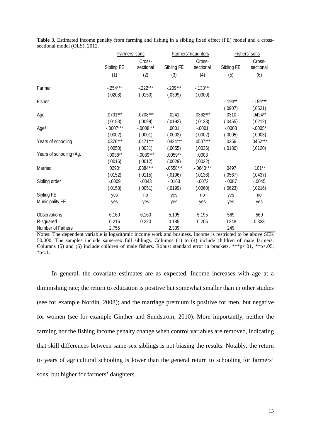|                        | Farmers' sons |             |             | Farmers' daughters |            | Fishers' sons |  |
|------------------------|---------------|-------------|-------------|--------------------|------------|---------------|--|
|                        |               | Cross-      |             | Cross-             |            | Cross-        |  |
|                        | Sibling FE    | sectional   | Sibling FE  | sectional          | Sibling FE | sectional     |  |
|                        | (1)           | (2)         | (3)         | (4)                | (5)        | (6)           |  |
|                        |               |             |             |                    |            |               |  |
| Farmer                 | $-.254***$    | $-.222***$  | $-.209***$  | $-133***$          |            |               |  |
|                        | (.0208)       | (.0150)     | (.0399)     | (.0300)            |            |               |  |
| Fisher                 |               |             |             |                    | $-0.193**$ | $-0.159***$   |  |
|                        |               |             |             |                    | (.0907)    | (.0521)       |  |
| Age                    | $.0701***$    | $.0708***$  | .0241       | $.0362***$         | .0310      | $.0424**$     |  |
|                        | (.0153)       | (.0099)     | (.0192)     | (.0123)            | (.0455)    | (.0212)       |  |
| Age <sup>2</sup>       | $-.0007***$   | $-.0008***$ | .0001       | $-.0001$           | $-.0003$   | $-.0005*$     |  |
|                        | (.0002)       | (.0001)     | (.0002)     | (.0002)            | (.0005)    | (.0003)       |  |
| Years of schooling     | $.0376***$    | $.0471***$  | $.0424***$  | $.0507***$         | .0256      | $.0462***$    |  |
|                        | (.0050)       | (.0031)     | (.0055)     | (.0036)            | (.0180)    | (.0120)       |  |
| Years of schooling×Ag. | $-.0038**$    | $-.0039***$ | $.0059**$   | .0003              |            |               |  |
|                        | (.0016)       | (.0012)     | (.0029)     | (.0022)            |            |               |  |
| Married                | $.0290*$      | $.0384***$  | $-.0558***$ | $-.0640***$        | .0497      | $.101**$      |  |
|                        | (.0152)       | (.0115)     | (.0196)     | (.0136)            | (.0567)    | (.0437)       |  |
| Sibling order          | $-.0009$      | $-.0043$    | $-0.0163$   | $-.0072$           | $-.0087$   | $-.0045$      |  |
|                        | (.0158)       | (.0051)     | (.0199)     | (.0060)            | (.0623)    | (.0216)       |  |
| Sibling FE             | yes           | no          | yes         | n <sub>0</sub>     | yes        | no            |  |
| Municipality FE        | yes           | yes         | yes         | yes                | yes        | yes           |  |
| Observations           | 6,160         | 6,160       | 5,195       | 5,195              | 569        | 569           |  |
|                        |               | 0.220       |             |                    |            |               |  |
| R-squared              | 0.216         |             | 0.185       | 0.205              | 0.248      | 0.333         |  |
| Number of Fathers      | 2,755         |             | 2,339       |                    | 249        |               |  |

**Table 3.** Estimated income penalty from farming and fishing in a sibling fixed effect (FE) model and a crosssectional model (OLS), 2012.

Notes: The dependent variable is logarithmic income work and business. Income is restricted to be above SEK 50,000. The samples include same-sex full siblings. Columns (1) to (4) include children of male farmers. Columns (5) and (6) include children of male fishers. Robust standard error in brackets. \*\*\*p<.01, \*\*p<.05,  $*_{p<.1.}$ 

In general, the covariate estimates are as expected. Income increases with age at a diminishing rate; the return to education is positive but somewhat smaller than in other studies (see for example Nordin, 2008); and the marriage premium is positive for men, but negative for women (see for example Ginther and Sundström, 2010). More importantly, neither the farming nor the fishing income penalty change when control variables are removed, indicating that skill differences between same-sex siblings is not biasing the results. Notably, the return to years of agricultural schooling is lower than the general return to schooling for farmers' sons, but higher for farmers' daughters.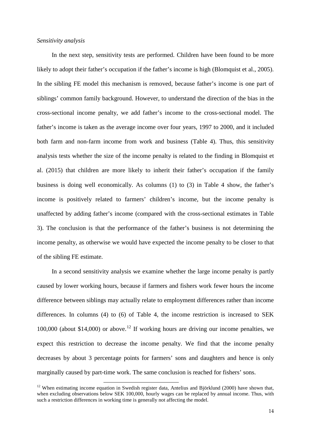#### *Sensitivity analysis*

In the next step, sensitivity tests are performed. Children have been found to be more likely to adopt their father's occupation if the father's income is high (Blomquist et al., 2005). In the sibling FE model this mechanism is removed, because father's income is one part of siblings' common family background. However, to understand the direction of the bias in the cross-sectional income penalty, we add father's income to the cross-sectional model. The father's income is taken as the average income over four years, 1997 to 2000, and it included both farm and non-farm income from work and business (Table 4). Thus, this sensitivity analysis tests whether the size of the income penalty is related to the finding in Blomquist et al. (2015) that children are more likely to inherit their father's occupation if the family business is doing well economically. As columns (1) to (3) in Table 4 show, the father's income is positively related to farmers' children's income, but the income penalty is unaffected by adding father's income (compared with the cross-sectional estimates in Table 3). The conclusion is that the performance of the father's business is not determining the income penalty, as otherwise we would have expected the income penalty to be closer to that of the sibling FE estimate.

In a second sensitivity analysis we examine whether the large income penalty is partly caused by lower working hours, because if farmers and fishers work fewer hours the income difference between siblings may actually relate to employment differences rather than income differences. In columns (4) to (6) of Table 4, the income restriction is increased to SEK 100,000 (about \$14,000) or above. [12](#page-15-0) If working hours are driving our income penalties, we expect this restriction to decrease the income penalty. We find that the income penalty decreases by about 3 percentage points for farmers' sons and daughters and hence is only marginally caused by part-time work. The same conclusion is reached for fishers' sons.

<span id="page-15-0"></span> $12$  When estimating income equation in Swedish register data, Antelius and Björklund (2000) have shown that, when excluding observations below SEK 100,000, hourly wages can be replaced by annual income. Thus, with such a restriction differences in working time is generally not affecting the model.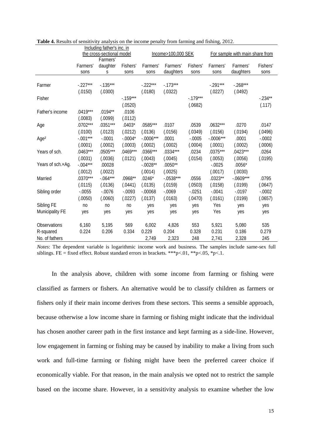| Including father's inc. in |                           |             |                    |             |            |                                 |             |             |           |
|----------------------------|---------------------------|-------------|--------------------|-------------|------------|---------------------------------|-------------|-------------|-----------|
|                            | the cross-sectional model |             | Income>100,000 SEK |             |            | For sample with main share from |             |             |           |
|                            |                           | Farmers'    |                    |             |            |                                 |             |             |           |
|                            | Farmers'                  | daughter    | Fishers'           | Farmers'    | Farmers'   | Fishers'                        | Farmers'    | Farmers'    | Fishers'  |
|                            | sons                      | S           | sons               | sons        | daughters  | sons                            | sons        | daughters   | sons      |
|                            |                           |             |                    |             |            |                                 |             |             |           |
| Farmer                     | $-.227***$                | $-0.135***$ |                    | $-.222***$  | $-.173***$ |                                 | $-.291***$  | $-.268***$  |           |
|                            | (.0150)                   | (.0300)     |                    | (.0180)     | (.0322)    |                                 | (.0227)     | (.0492)     |           |
| Fisher                     |                           |             | $-.159***$         |             |            | $-.179***$                      |             |             | $-.234**$ |
|                            |                           |             | (.0520)            |             |            | (.0682)                         |             |             | (.117)    |
| Father's income            | $.0419***$                | $.0194**$   | .0106              |             |            |                                 |             |             |           |
|                            | (.0083)                   | (.0099)     | (.0112)            |             |            |                                 |             |             |           |
| Age                        | $.0702***$                | $.0351***$  | $.0403*$           | .0585***    | .0107      | .0539                           | $.0632***$  | .0270       | .0147     |
|                            | (.0100)                   | (.0123)     | (.0212)            | (.0136)     | (.0156)    | (.0349)                         | (.0156)     | (.0194)     | (.0496)   |
| Age <sup>2</sup>           | $-.001***$                | $-.0001$    | $-.0004*$          | $-.0006***$ | .0001      | $-.0005$                        | $-.0006***$ | .0001       | $-.0002$  |
|                            | (.0001)                   | (.0002)     | (.0003)            | (.0002)     | (.0002)    | (.0004)                         | (.0001)     | (.0002)     | (.0006)   |
| Years of sch.              | $.0463***$                | $.0505***$  | $.0469***$         | $.0366***$  | $.0334***$ | .0234                           | $.0375***$  | $.0423***$  | .0264     |
|                            | (.0031)                   | (.0036)     | (.0121)            | (.0043)     | (.0045)    | (.0154)                         | (.0053)     | (.0056)     | (.0195)   |
| Years of sch.×Ag.          | $-.004***$                | .00028      |                    | $-.0028**$  | $.0050**$  |                                 | $-.0025$    | $.0056*$    |           |
|                            | (.0012)                   | (.0022)     |                    | (.0014)     | (.0025)    |                                 | (.0017)     | (.0030)     |           |
| Married                    | $.0370***$                | $-.064***$  | $.0968**$          | $.0246*$    | $-0538***$ | .0556                           | $.0323**$   | $-.0609***$ | .0795     |
|                            | (.0115)                   | (.0136)     | (.0441)            | (.0135)     | (.0159)    | (.0503)                         | (.0158)     | (.0199)     | (.0647)   |
| Sibling order              | $-.0055$                  | $-.0076$    | $-.0093$           | $-.00068$   | $-.0069$   | $-0.0251$                       | $-.0041$    | $-.0197$    | $-.0002$  |
|                            | (.0050)                   | (.0060)     | (.0227)            | (.0137)     | (.0163)    | (.0470)                         | (.0161)     | (.0199)     | (.0657)   |
| Sibling FE                 | no                        | no          | no                 | yes         | yes        | yes                             | Yes         | yes         | yes       |
| Municipality FE            | yes                       | yes         | yes                | yes         | yes        | yes                             | Yes         | yes         | yes       |
|                            |                           |             |                    |             |            |                                 |             |             |           |
| Observations               | 6,160                     | 5,195       | 569                | 6,002       | 4,826      | 553                             | 5,921       | 5,080       | 535       |
| R-squared                  | 0.224                     | 0.206       | 0.334              | 0.229       | 0.204      | 0.328                           | 0.231       | 0.186       | 0.279     |
| No. of fathers             |                           |             |                    | 2,749       | 2,323      | 248                             | 2,741       | 2,328       | 245       |

**Table 4.** Results of sensitivity analysis on the income penalty from farming and fishing, 2012.

*Notes*: The dependent variable is logarithmic income work and business. The samples include same-sex full siblings. FE = fixed effect. Robust standard errors in brackets. \*\*\*p<.01, \*\*p<.05, \*p<.1.

In the analysis above, children with some income from farming or fishing were classified as farmers or fishers. An alternative would be to classify children as farmers or fishers only if their main income derives from these sectors. This seems a sensible approach, because otherwise a low income share in farming or fishing might indicate that the individual has chosen another career path in the first instance and kept farming as a side-line. However, low engagement in farming or fishing may be caused by inability to make a living from such work and full-time farming or fishing might have been the preferred career choice if economically viable. For that reason, in the main analysis we opted not to restrict the sample based on the income share. However, in a sensitivity analysis to examine whether the low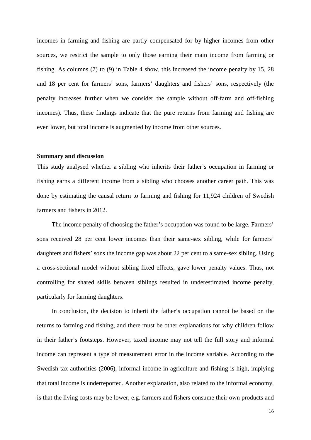incomes in farming and fishing are partly compensated for by higher incomes from other sources, we restrict the sample to only those earning their main income from farming or fishing. As columns (7) to (9) in Table 4 show, this increased the income penalty by 15, 28 and 18 per cent for farmers' sons, farmers' daughters and fishers' sons, respectively (the penalty increases further when we consider the sample without off-farm and off-fishing incomes). Thus, these findings indicate that the pure returns from farming and fishing are even lower, but total income is augmented by income from other sources.

#### **Summary and discussion**

This study analysed whether a sibling who inherits their father's occupation in farming or fishing earns a different income from a sibling who chooses another career path. This was done by estimating the causal return to farming and fishing for 11,924 children of Swedish farmers and fishers in 2012.

The income penalty of choosing the father's occupation was found to be large. Farmers' sons received 28 per cent lower incomes than their same-sex sibling, while for farmers' daughters and fishers' sons the income gap was about 22 per cent to a same-sex sibling. Using a cross-sectional model without sibling fixed effects, gave lower penalty values. Thus, not controlling for shared skills between siblings resulted in underestimated income penalty, particularly for farming daughters.

In conclusion, the decision to inherit the father's occupation cannot be based on the returns to farming and fishing, and there must be other explanations for why children follow in their father's footsteps. However, taxed income may not tell the full story and informal income can represent a type of measurement error in the income variable. According to the Swedish tax authorities (2006), informal income in agriculture and fishing is high, implying that total income is underreported. Another explanation, also related to the informal economy, is that the living costs may be lower, e.g. farmers and fishers consume their own products and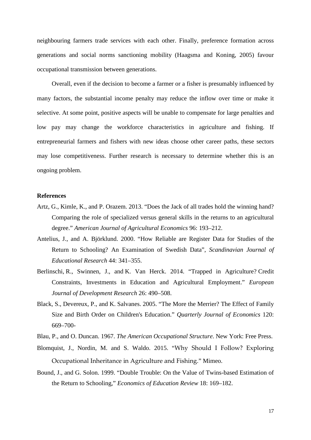neighbouring farmers trade services with each other. Finally, preference formation across generations and social norms sanctioning mobility (Haagsma and Koning, 2005) favour occupational transmission between generations.

Overall, even if the decision to become a farmer or a fisher is presumably influenced by many factors, the substantial income penalty may reduce the inflow over time or make it selective. At some point, positive aspects will be unable to compensate for large penalties and low pay may change the workforce characteristics in agriculture and fishing. If entrepreneurial farmers and fishers with new ideas choose other career paths, these sectors may lose competitiveness. Further research is necessary to determine whether this is an ongoing problem.

#### **References**

- Artz, G., Kimle, K., and P. Orazem. 2013. "Does the Jack of all trades hold the winning hand? Comparing the role of specialized versus general skills in the returns to an agricultural degree." *American Journal of Agricultural Economics* 96: 193–212.
- Antelius, J., and A. Björklund. 2000. "How Reliable are Register Data for Studies of the Return to Schooling? An Examination of Swedish Data", *Scandinavian Journal of Educational Research* 44: 341–355.
- Berlinschi, R., Swinnen, J., and K. Van Herck. 2014. "Trapped in Agriculture? Credit Constraints, Investments in Education and Agricultural Employment." *European Journal of Development Research* 26: 490–508.
- Black, S., Devereux, P., and K. Salvanes. 2005. "The More the Merrier? The Effect of Family Size and Birth Order on Children's Education." *Quarterly Journal of Economics* 120: 669–700-
- Blau, P., and O. Duncan. 1967. *The American Occupational Structure*. New York: Free Press.
- Blomquist, J., Nordin, M. and S. Waldo. 2015. "Why Should I Follow? Exploring Occupational Inheritance in Agriculture and Fishing." Mimeo.
- Bound, J., and G. Solon. 1999. "Double Trouble: On the Value of Twins-based Estimation of the Return to Schooling," *Economics of Education Review* 18: 169–182.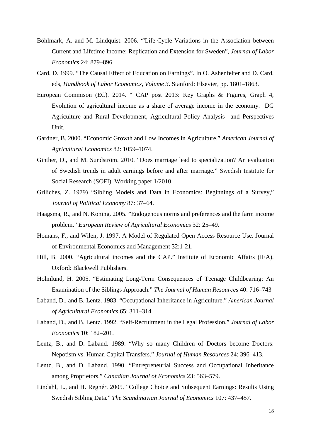- Böhlmark, A. and M. Lindquist. 2006. "'Life-Cycle Variations in the Association between Current and Lifetime Income: Replication and Extension for Sweden", *Journal of Labor Economics* 24: 879–896.
- Card, D. 1999. "The Causal Effect of Education on Earnings". In O. Ashenfelter and D. Card, eds, *Handbook of Labor Economics*, *Volume 3*. Stanford: Elsevier, pp. 1801–1863.
- European Commison (EC). 2014. " CAP post 2013: Key Graphs & Figures, Graph 4, Evolution of agricultural income as a share of average income in the economy. DG Agriculture and Rural Development, Agricultural Policy Analysis and Perspectives Unit.
- Gardner, B. 2000. "Economic Growth and Low Incomes in Agriculture." *American Journal of Agricultural Economics* 82: 1059–1074.
- Ginther, D., and M. Sundström. 2010. "Does marriage lead to specialization? An evaluation of Swedish trends in adult earnings before and after marriage." Swedish Institute for Social Research (SOFI). Working paper 1/2010.
- Griliches, Z. 1979) "Sibling Models and Data in Economics: Beginnings of a Survey," *Journal of Political Economy* 87: 37–64.
- Haagsma, R., and N. Koning. 2005. "Endogenous norms and preferences and the farm income problem." *European Review of Agricultural Economics* 32: 25–49.
- Homans, F., and Wilen, J. 1997. A Model of Regulated Open Access Resource Use. Journal of Environmental Economics and Management 32:1-21.
- Hill, B. 2000. "Agricultural incomes and the CAP." Institute of Economic Affairs (IEA). Oxford: Blackwell Publishers.
- Holmlund, H. 2005. "Estimating Long-Term Consequences of Teenage Childbearing: An Examination of the Siblings Approach." *The Journal of Human Resources* 40: 716–743
- Laband, D., and B. Lentz. 1983. "Occupational Inheritance in Agriculture." *American Journal of Agricultural Economics* 65: 311–314.
- Laband, D., and B. Lentz. 1992. "Self-Recruitment in the Legal Profession." *Journal of Labor Economics* 10: 182–201.
- Lentz, B., and D. Laband. 1989. "Why so many Children of Doctors become Doctors: Nepotism vs. Human Capital Transfers." *Journal of Human Resources* 24: 396–413.
- Lentz, B., and D. Laband. 1990. "Entrepreneurial Success and Occupational Inheritance among Proprietors." *Canadian Journal of Economics* 23: 563–579.
- Lindahl, L., and H. Regnér. 2005. "College Choice and Subsequent Earnings: Results Using Swedish Sibling Data." *The Scandinavian Journal of Economics* 107: 437–457.